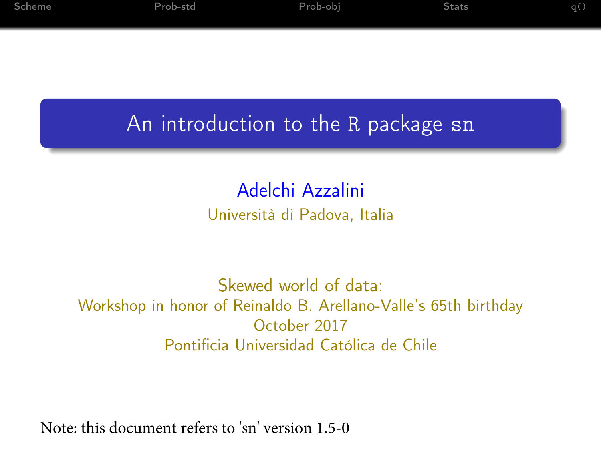| Scheme | Prob-std | Prob-obi | Stats | яα |
|--------|----------|----------|-------|----|
|        |          |          |       |    |

# An introduction to the R package sn

#### Adelchi Azzalini Università di Padova, Italia

#### Skewed world of data: Workshop in honor of Reinaldo B. Arellano-Valle's 65th birthday October 2017 Pontificia Universidad Católica de Chile

Note: this document refers to 'sn' version 1.5-0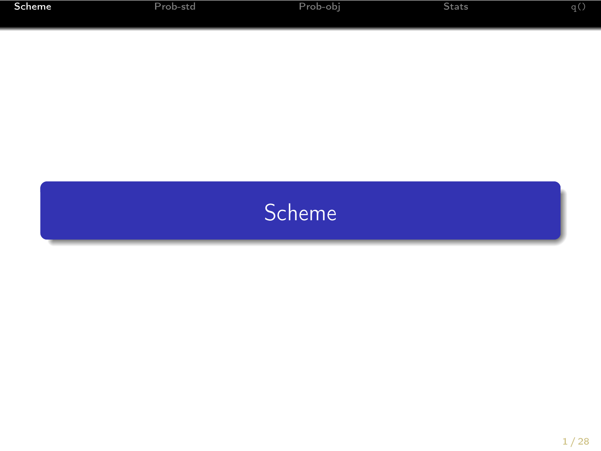<span id="page-1-0"></span>

| Scheme | Prob-std | Prob-obi | Stats | .a ( |
|--------|----------|----------|-------|------|
|        |          |          |       |      |

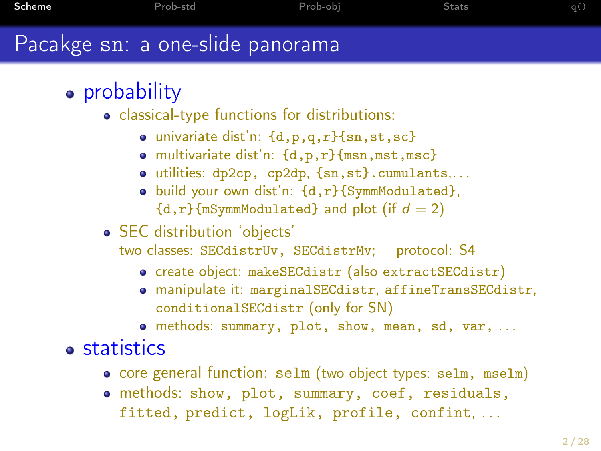# Pacakge sn: a one-slide panorama

# • probability

- classical-type functions for distributions:
	- univariate dist'n: {d,p,q,r}{sn,st,sc}
	- multivariate dist'n: {d,p,r}{msn,mst,msc}
	- utilities: dp2cp, cp2dp, {sn,st}.cumulants,. . .
	- build your own dist'n: {d,r}{SymmModulated},  ${d,r}$  mSymmModulated} and plot (if  $d = 2$ )
- SEC distribution 'objects'
	- two classes: SECdistrUv, SECdistrMv; protocol: S4
		- create object: makeSECdistr (also extractSECdistr)
		- manipulate it: marginalSECdistr, affineTransSECdistr, conditionalSECdistr (only for SN)
		- methods: summary, plot, show, mean, sd, var, . . .

**•** statistics

- core general function: selm (two object types: selm, mselm)
- methods: show, plot, summary, coef, residuals, fitted, predict, logLik, profile, confint, ...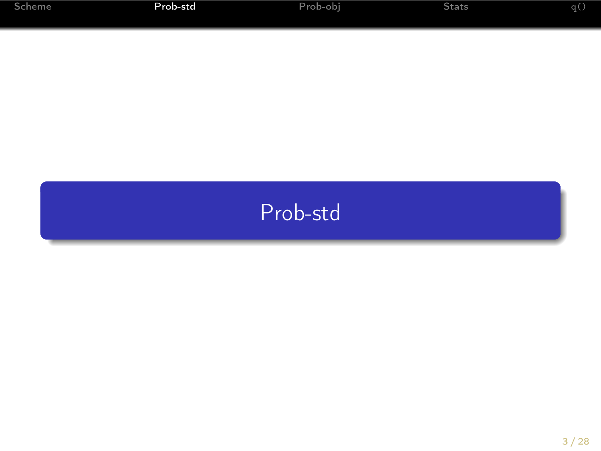<span id="page-3-0"></span>

| Scheme | Prob-std | Prob-obi | Stats | la C |
|--------|----------|----------|-------|------|
|        |          |          |       |      |

# [Prob-std](#page-3-0)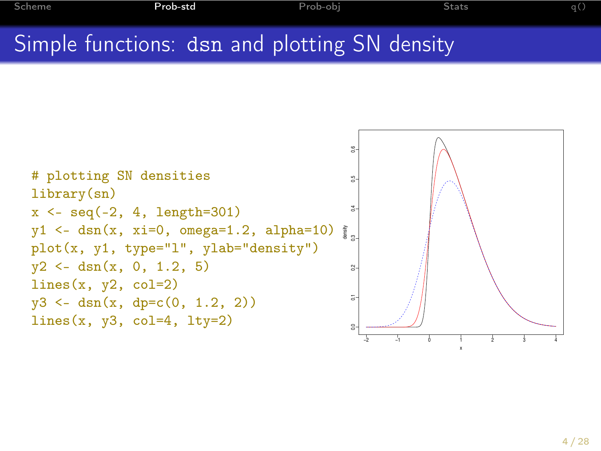# Simple functions: dsn and plotting SN density

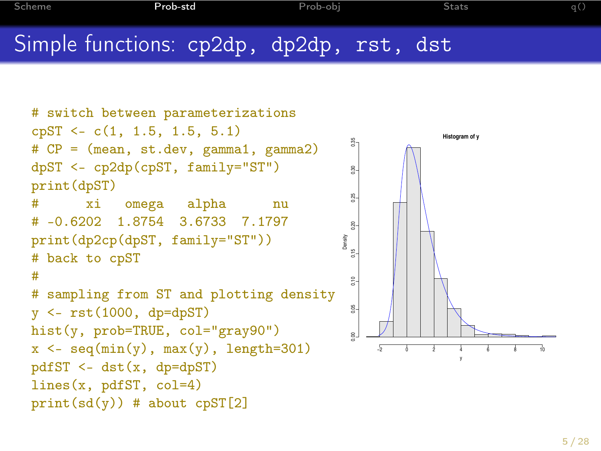```
Scheme Prob-std Prob-obj Stats q()
Simple functions: cp2dp, dp2dp, rst, dst
```

```
# switch between parameterizations
cpST <- c(1, 1.5, 1.5, 5.1)
                                                            Histogram of y
                                               0.00 0.05 0.10 0.15 0.20 0.25 0.30 0.35
# CP = (mean, st.dev, gamma1, gamma2)
dpST <- cp2dp(cpST, family="ST")
print(dpST)
# xi omega alpha nu
# -0.6202 1.8754 3.6733 7.1797
print(dp2cp(dpST, family="ST"))
                                              Density
# back to cpST
#
# sampling from ST and plotting density
                                               g.
y \le -rst(1000, dp=dpST)hist(y, prob=TRUE, col="gray90")
x \leftarrow \text{seq}(\min(y), \max(y), \text{length}=301)−2 0 2 4 6 8 10
pdfST \leq -dst(x, dp=dpST)lines(x, pdfST, col=4)
print(sd(y)) # about c pST[2]
```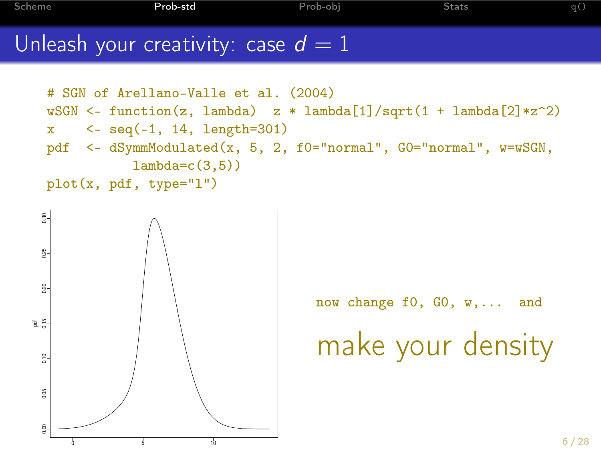[Scheme](#page-1-0) [Prob-std](#page-3-0) [Prob-obj](#page-9-0) [Stats](#page-17-0) [q\(\)](#page-27-0)

#### Unleash your creativity: case  $d = 1$

```
# SGN of Arellano-Valle et al. (2004)
wSGN \leq function(z, lambda) z * lambda[1]/sqrt(1 + lambda[2]*z^2)
x \leq -\text{seq}(-1, 14, \text{length}=301)pdf <- dSymmModulated(x, 5, 2, f0="normal", G0="normal", w=wSGN,
           lambda=c(3.5)plot(x, pdf, type="l")
```


now change f0, G0, w,... and

make your density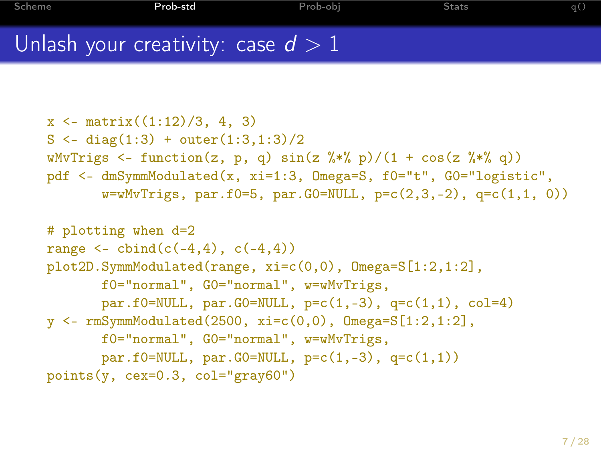# Unlash your creativity: case  $d > 1$

```
x \leq - matrix((1:12)/3, 4, 3)S \leftarrow diag(1:3) + outer(1:3,1:3)/2wMvTrigs \leq function(z, p, q) sin(z \frac{9*}{8} p)/(1 + cos(z \frac{9*}{8} q))
pdf <- dmSymmModulated(x, xi=1:3, Omega=S, f0="t", G0="logistic",
       w=wMvTrigs, par.f0=5, par.G0=NULL, p=c(2,3,-2), q=c(1,1, 0))# plotting when d=2
range \le cbind(c(-4,4), c(-4,4))
```

```
plot2D.SymmModulated(range, xi=c(0,0), Omega=S[1:2,1:2],
      f0="normal", G0="normal", w=wMvTrigs,
       par.f0=NULL, par.G0=NULL, p=c(1,-3), q=c(1,1), col=4)
y <- rmSymmModulated(2500, xi=c(0,0), Omega=S[1:2,1:2],
      f0="normal", G0="normal", w=wMvTrigs,
       par.f0=NULL, par.G0=NULL, p=c(1,-3), q=c(1,1))
points(y, cex=0.3, col="gray60")
```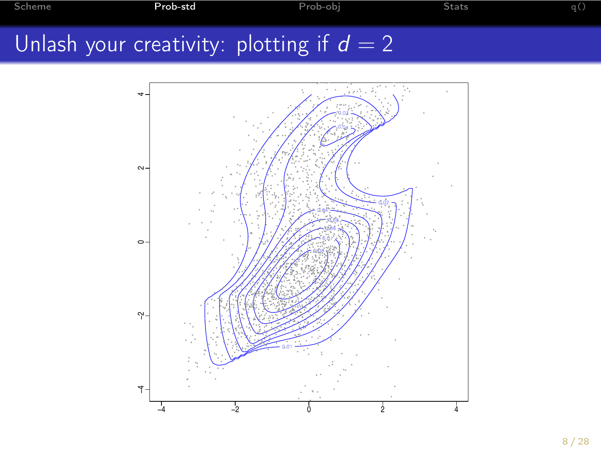[Scheme](#page-1-0) [Prob-std](#page-3-0) [Prob-obj](#page-9-0) [Stats](#page-17-0) [q\(\)](#page-27-0)

# Unlash your creativity: plotting if  $d = 2$

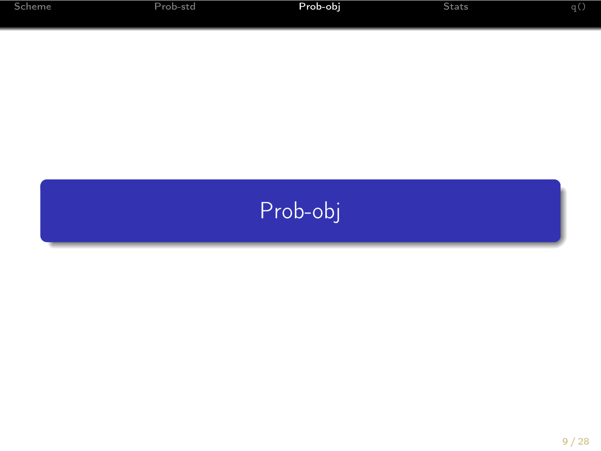<span id="page-9-0"></span>

| Scheme | Prob-std | Prob-obi | Stats | <b>TOM</b> |
|--------|----------|----------|-------|------------|
|        |          |          |       |            |

# [Prob-obj](#page-9-0)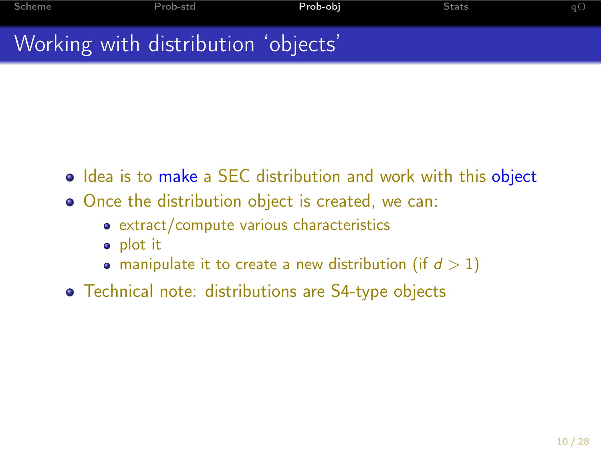# Working with distribution 'objects'

- Idea is to make a SEC distribution and work with this object
- Once the distribution object is created, we can:
	- extract/compute various characteristics
	- plot it
	- manipulate it to create a new distribution (if  $d > 1$ )
- Technical note: distributions are S4-type objects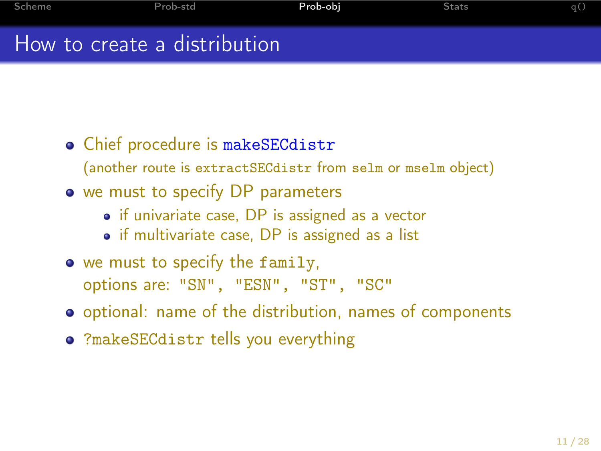## How to create a distribution

- Chief procedure is makeSECdistr
	- (another route is extractSECdistr from selm or mselm object)
- we must to specify DP parameters
	- if univariate case, DP is assigned as a vector
	- if multivariate case, DP is assigned as a list
- we must to specify the family, options are: "SN", "ESN", "ST", "SC"
- optional: name of the distribution, names of components
- ?makeSECdistr tells you everything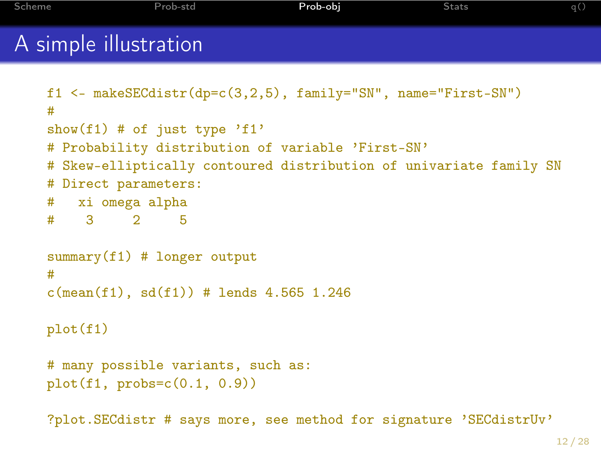```
Scheme Prob-std Prob-obj Stats q()
A simple illustration
   f1 <- makeSECdistr(dp=c(3,2,5), family="SN", name="First-SN")
   #
   show(f1) # of just type 'f1'
   # Probability distribution of variable 'First-SN'
   # Skew-elliptically contoured distribution of univariate family SN
   # Direct parameters:
   # xi omega alpha
   # 3 2 5
   summary(f1) # longer output
   #
   c(mean(f1), sd(f1)) # lends 4.565 1.246
   plot(f1)
   # many possible variants, such as:
   plot(f1, probs=c(0.1, 0.9))?plot.SECdistr # says more, see method for signature 'SECdistrUv'
```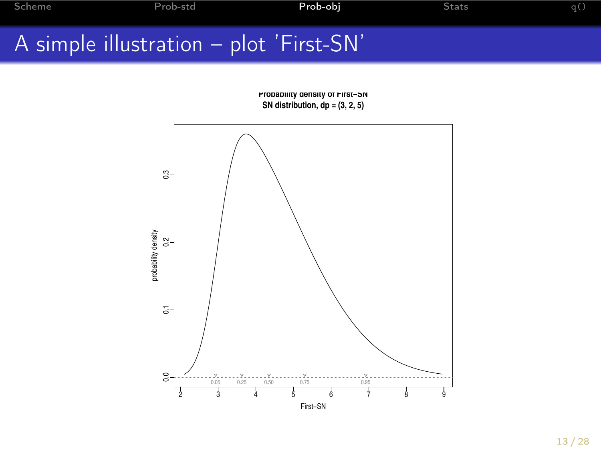# A simple illustration – plot 'First-SN'

**Probability density of First−SN SN distribution, dp = (3, 2, 5)**

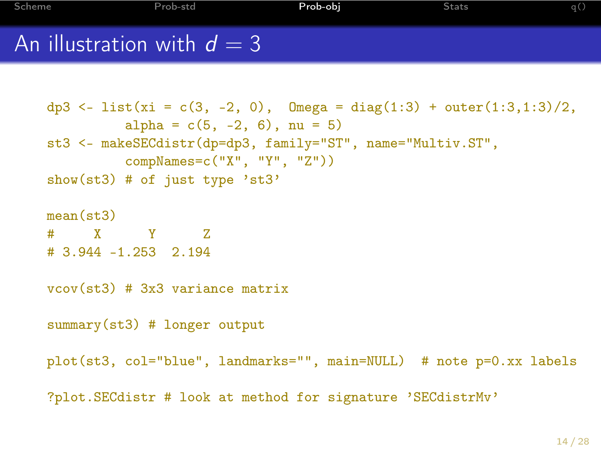```
Scheme Prob-std Prob-obj Stats q()
An illustration with d = 3
```

```
dp3 <- list(xi = c(3, -2, 0), Omega = diag(1:3) + outer(1:3,1:3)/2,
         alpha = c(5, -2, 6), nu = 5)
st3 <- makeSECdistr(dp=dp3, family="ST", name="Multiv.ST",
         compNames=c("X", "Y", "Z"))
show(st3) # of just type 'st3mean(st.3)# X Y Z
# 3.944 -1.253 2.194
vcov(st3) # 3x3 variance matrix
summary(st3) # longer output
plot(st3, col="blue", landmarks="", main=NULL) # note p=0.xx labels
?plot.SECdistr # look at method for signature 'SECdistrMv'
```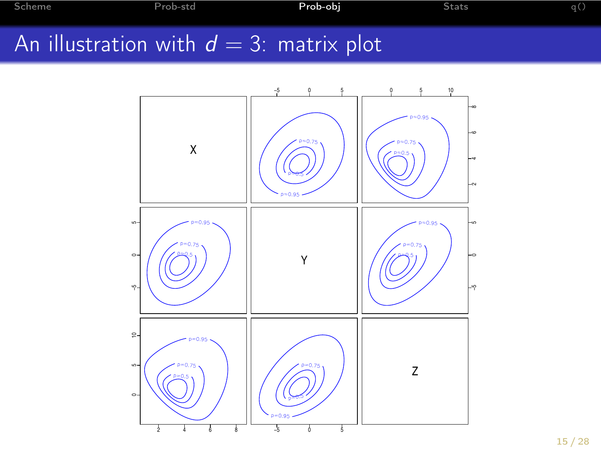[Scheme](#page-1-0) [Prob-std](#page-3-0) [Prob-obj](#page-9-0) [Stats](#page-17-0) [q\(\)](#page-27-0)

# An illustration with  $d = 3$ : matrix plot

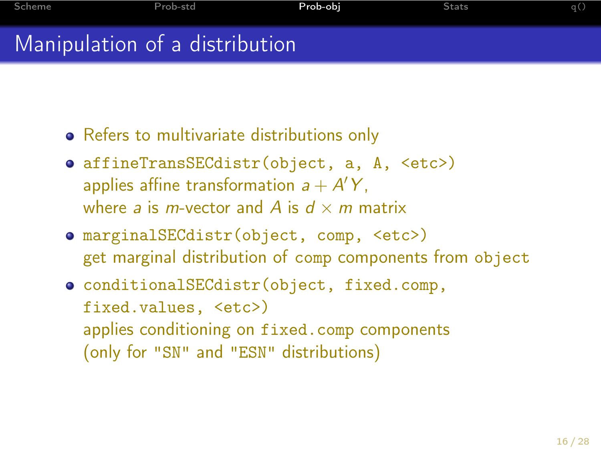Manipulation of a distribution

- Refers to multivariate distributions only
- affineTransSECdistr(object, a, A, <etc>) applies affine transformation  $a + A'Y$ , where a is *m*-vector and A is  $d \times m$  matrix
- marginalSECdistr(object, comp, <etc>) get marginal distribution of comp components from object
- conditionalSECdistr(object, fixed.comp, fixed.values, <etc>) applies conditioning on fixed.comp components (only for "SN" and "ESN" distributions)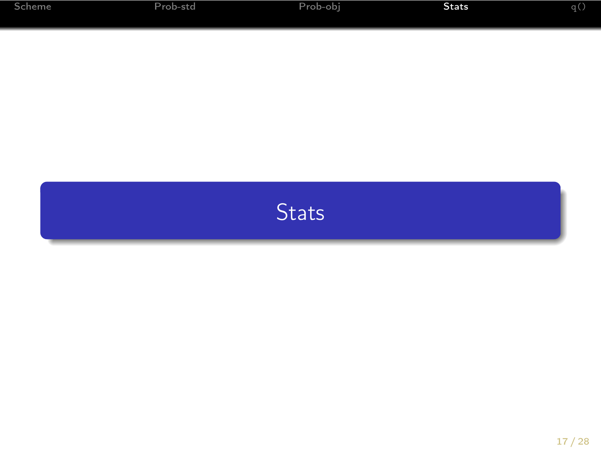<span id="page-17-0"></span>

| Scheme | Prob-std | Prob-obi | Stats | q() |
|--------|----------|----------|-------|-----|
|        |          |          |       |     |

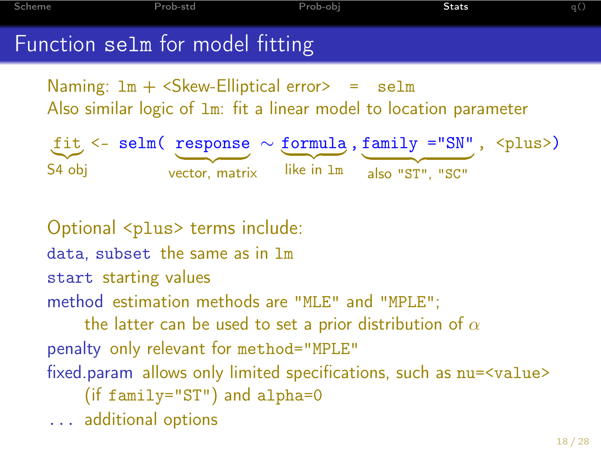[Scheme](#page-1-0) [Prob-std](#page-3-0) [Prob-obj](#page-9-0) [Stats](#page-17-0) [q\(\)](#page-27-0) Function selm for model fitting

Naming:  $lm + \leq$ kew-Elliptical error $> =$ selm Also similar logic of lm: fit a linear model to location parameter

 $f$ it <- selm( response  $\sim$  formula, family ="SN", <plus>) S4 obj  $\longrightarrow$ vector, matrix  $\overrightarrow{like}$  in  $\overrightarrow{lm}$  also "ST", "SC" also "ST", "SC"

Optional <plus> terms include: data, subset the same as in lm start starting values method estimation methods are "MLE" and "MPLE"; the latter can be used to set a prior distribution of  $\alpha$ penalty only relevant for method="MPLE" fixed.param allows only limited specifications, such as nu=<value> (if family="ST") and alpha=0 ... additional options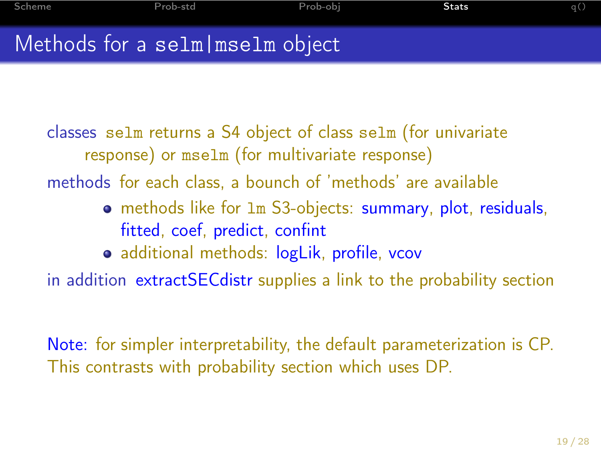# Methods for a selm|mselm object

classes selm returns a S4 object of class selm (for univariate response) or mselm (for multivariate response)

methods for each class, a bounch of 'methods' are available

- methods like for lm S3-objects: summary, plot, residuals, fitted, coef, predict, confint
- additional methods: logLik, profile, vcov

in addition extractSECdistr supplies a link to the probability section

Note: for simpler interpretability, the default parameterization is CP. This contrasts with probability section which uses DP.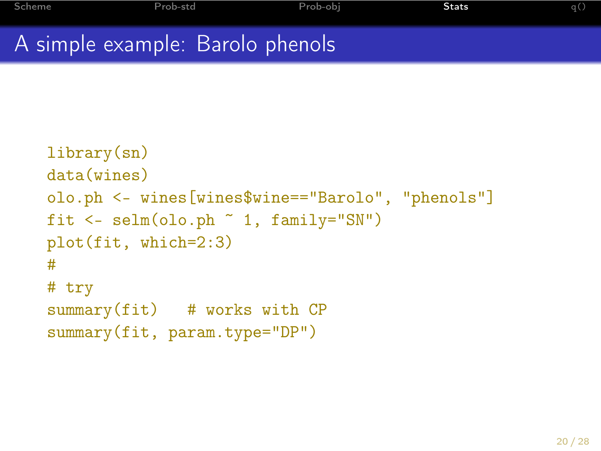# A simple example: Barolo phenols

```
library(sn)
data(wines)
olo.ph <- wines[wines$wine=="Barolo", "phenols"]
fit \leq selm(olo.ph \sim 1, family="SN")
plot(fit, which=2:3)
#
# try
summary(fit) # works with CPsummary(fit, param.type="DP")
```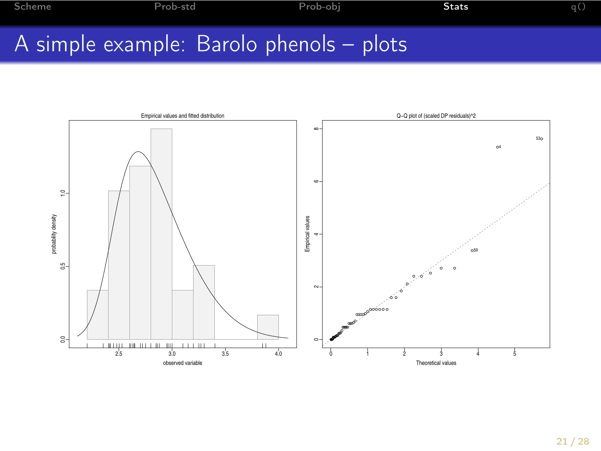# A simple example: Barolo phenols – plots

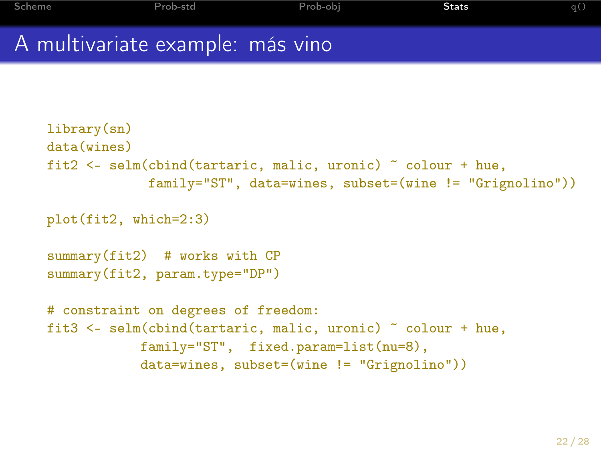# A multivariate example: más vino

```
library(sn)
data(wines)
fit2 <- selm(cbind(tartaric, malic, uronic) ~ colour + hue,
             family="ST", data=wines, subset=(wine != "Grignolino"))
plot(fit2, which=2:3)
summary(fit2) # works with CP
summary(fit2, param.type="DP")
# constraint on degrees of freedom:
fit3 <- selm(cbind(tartaric, malic, uronic) ~ colour + hue,
            family="ST", fixed.param=list(nu=8),
            data=wines, subset=(wine != "Grignolino"))
```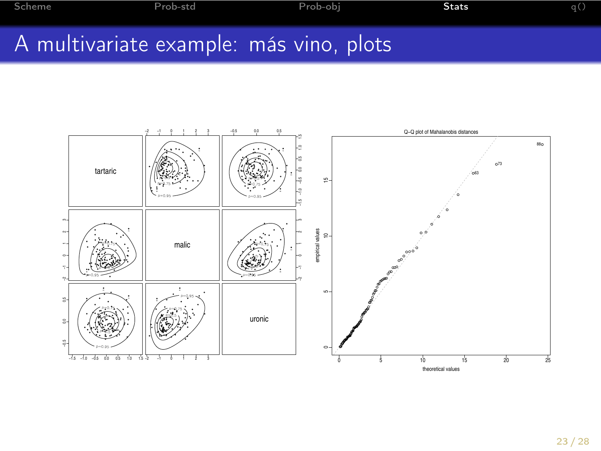# A multivariate example: más vino, plots

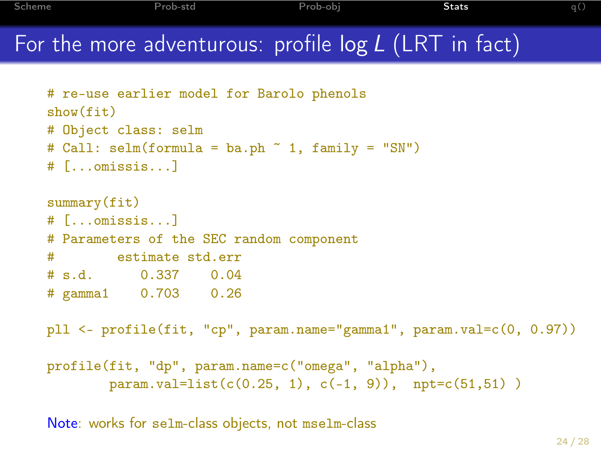[Scheme](#page-1-0) [Prob-std](#page-3-0) [Prob-obj](#page-9-0) [Stats](#page-17-0) [q\(\)](#page-27-0) For the more adventurous: profile  $log L$  (LRT in fact)

```
# re-use earlier model for Barolo phenols
show(fit)
# Object class: selm
# Call: \text{selm}(formula = ba.ph \tilde{ } 1, family = "SN")
# [...omissis...]
summary(fit)
# [...omissis...]
# Parameters of the SEC random component
# estimate std.err
# s.d. 0.337 0.04
# gamma1 0.703 0.26
pll <- profile(fit, "cp", param.name="gamma1", param.val=c(0, 0.97))
profile(fit, "dp", param.name=c("omega", "alpha"),
        param.val=list(c(0.25, 1), c(-1, 9)), npt=c(51,51))
```
Note: works for selm-class objects, not mselm-class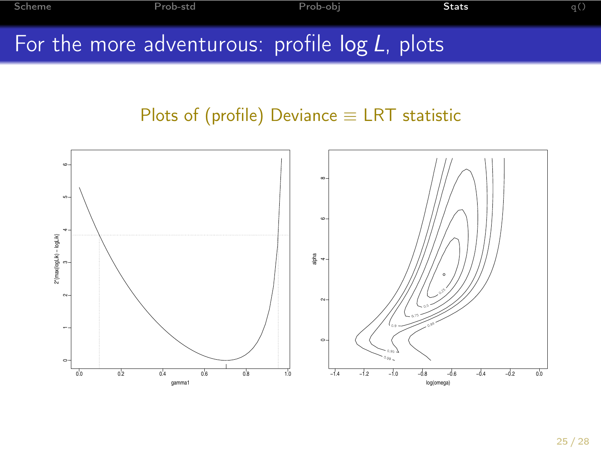[Scheme](#page-1-0) [Prob-std](#page-3-0) [Prob-obj](#page-9-0) [Stats](#page-17-0) [q\(\)](#page-27-0) For the more adventurous: profile  $\log L$ , plots

#### Plots of (profile) Deviance  $\equiv$  LRT statistic

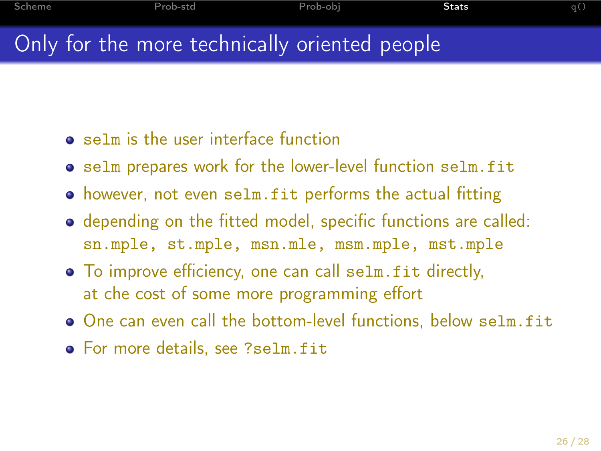# Only for the more technically oriented people

- **•** selm is the user interface function
- **•** selm prepares work for the lower-level function selm.fit
- however, not even selm.fit performs the actual fitting
- depending on the fitted model, specific functions are called: sn.mple, st.mple, msn.mle, msm.mple, mst.mple
- To improve efficiency, one can call selm.fit directly, at che cost of some more programming effort
- One can even call the bottom-level functions, below selm.fit
- For more details, see ?selm.fit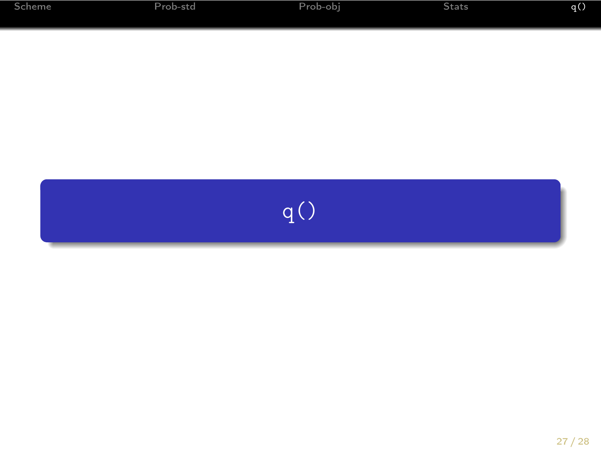<span id="page-27-0"></span>

| Scheme | Prob-std | Prob-obj | Stats | q() |
|--------|----------|----------|-------|-----|
|        |          |          |       |     |
|        |          |          |       |     |
|        |          |          |       |     |
|        |          |          |       |     |
|        |          | q()      |       |     |
|        |          |          |       |     |